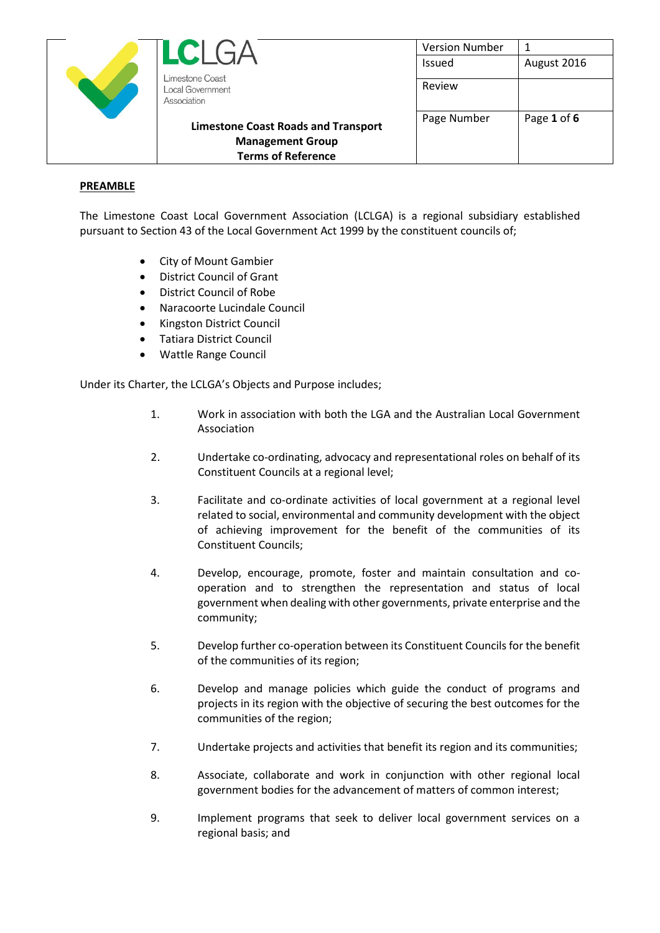| $LCI$ ( $\neg$                                            | <b>Version Number</b> |             |
|-----------------------------------------------------------|-----------------------|-------------|
|                                                           | Issued                | August 2016 |
| Limestone Coast<br><b>Local Government</b><br>Association | Review                |             |
| <b>Limestone Coast Roads and Transport</b>                | Page Number           | Page 1 of 6 |
| <b>Management Group</b>                                   |                       |             |
| <b>Terms of Reference</b>                                 |                       |             |

### **PREAMBLE**

The Limestone Coast Local Government Association (LCLGA) is a regional subsidiary established pursuant to Section 43 of the Local Government Act 1999 by the constituent councils of;

- City of Mount Gambier
- District Council of Grant
- District Council of Robe
- Naracoorte Lucindale Council
- Kingston District Council
- Tatiara District Council
- Wattle Range Council

Under its Charter, the LCLGA's Objects and Purpose includes;

- 1. Work in association with both the LGA and the Australian Local Government Association
- 2. Undertake co-ordinating, advocacy and representational roles on behalf of its Constituent Councils at a regional level;
- 3. Facilitate and co-ordinate activities of local government at a regional level related to social, environmental and community development with the object of achieving improvement for the benefit of the communities of its Constituent Councils;
- 4. Develop, encourage, promote, foster and maintain consultation and cooperation and to strengthen the representation and status of local government when dealing with other governments, private enterprise and the community;
- 5. Develop further co-operation between its Constituent Councils for the benefit of the communities of its region;
- 6. Develop and manage policies which guide the conduct of programs and projects in its region with the objective of securing the best outcomes for the communities of the region;
- 7. Undertake projects and activities that benefit its region and its communities;
- 8. Associate, collaborate and work in conjunction with other regional local government bodies for the advancement of matters of common interest;
- 9. Implement programs that seek to deliver local government services on a regional basis; and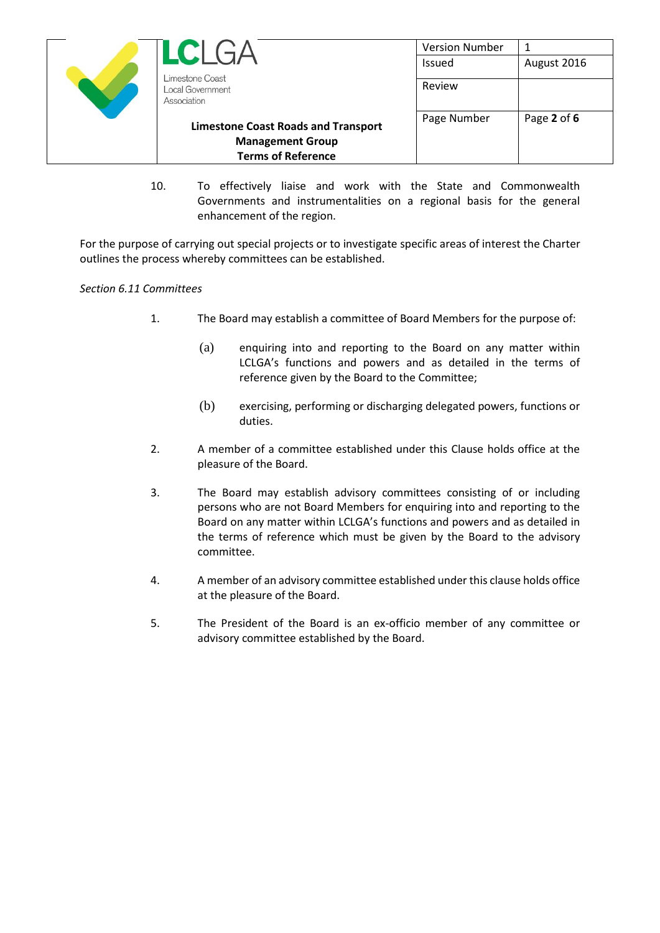

10. To effectively liaise and work with the State and Commonwealth Governments and instrumentalities on a regional basis for the general enhancement of the region.

For the purpose of carrying out special projects or to investigate specific areas of interest the Charter outlines the process whereby committees can be established.

# *Section 6.11 Committees*

- 1. The Board may establish a committee of Board Members for the purpose of:
	- (a) enquiring into and reporting to the Board on any matter within LCLGA's functions and powers and as detailed in the terms of reference given by the Board to the Committee;
	- (b) exercising, performing or discharging delegated powers, functions or duties.
- 2. A member of a committee established under this Clause holds office at the pleasure of the Board.
- 3. The Board may establish advisory committees consisting of or including persons who are not Board Members for enquiring into and reporting to the Board on any matter within LCLGA's functions and powers and as detailed in the terms of reference which must be given by the Board to the advisory committee.
- 4. A member of an advisory committee established under this clause holds office at the pleasure of the Board.
- 5. The President of the Board is an ex-officio member of any committee or advisory committee established by the Board.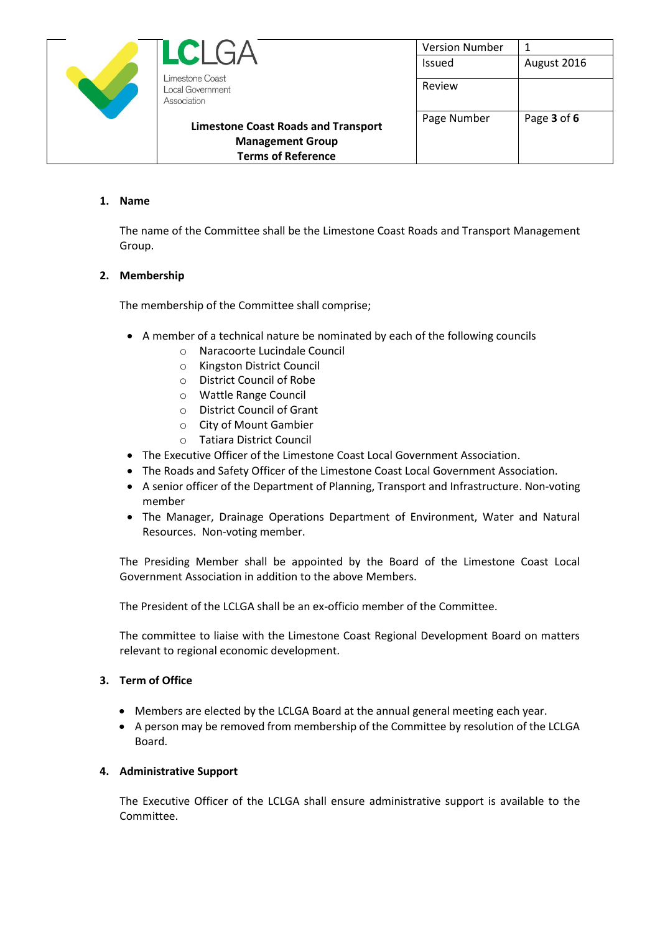| U<br>$\mathbf{L}$                                                     | <b>Version Number</b> |             |
|-----------------------------------------------------------------------|-----------------------|-------------|
|                                                                       | <b>Issued</b>         | August 2016 |
| Limestone Coast<br>ocal Government<br>Association                     | Review                |             |
| <b>Limestone Coast Roads and Transport</b><br><b>Management Group</b> | Page Number           | Page 3 of 6 |
| <b>Terms of Reference</b>                                             |                       |             |

### **1. Name**

The name of the Committee shall be the Limestone Coast Roads and Transport Management Group.

### **2. Membership**

The membership of the Committee shall comprise;

- A member of a technical nature be nominated by each of the following councils
	- o Naracoorte Lucindale Council
	- o Kingston District Council
	- o District Council of Robe
	- o Wattle Range Council
	- o District Council of Grant
	- o City of Mount Gambier
	- o Tatiara District Council
- The Executive Officer of the Limestone Coast Local Government Association.
- The Roads and Safety Officer of the Limestone Coast Local Government Association.
- A senior officer of the Department of Planning, Transport and Infrastructure. Non-voting member
- The Manager, Drainage Operations Department of Environment, Water and Natural Resources. Non-voting member.

The Presiding Member shall be appointed by the Board of the Limestone Coast Local Government Association in addition to the above Members.

The President of the LCLGA shall be an ex-officio member of the Committee.

The committee to liaise with the Limestone Coast Regional Development Board on matters relevant to regional economic development.

#### **3. Term of Office**

- Members are elected by the LCLGA Board at the annual general meeting each year.
- A person may be removed from membership of the Committee by resolution of the LCLGA Board.

#### **4. Administrative Support**

The Executive Officer of the LCLGA shall ensure administrative support is available to the Committee.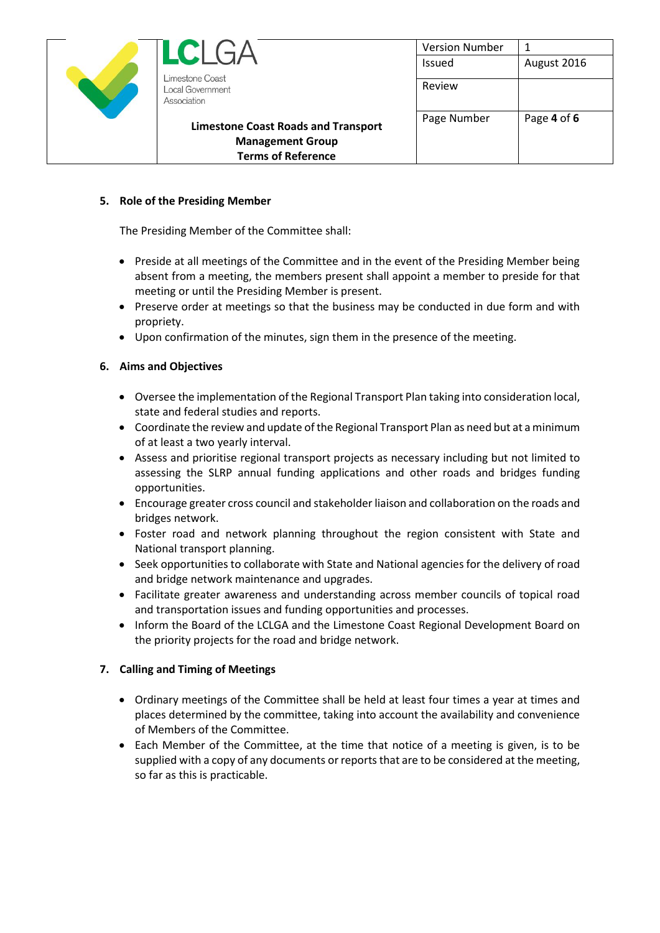| LC G                                                                  | <b>Version Number</b> |             |
|-----------------------------------------------------------------------|-----------------------|-------------|
|                                                                       | <b>Issued</b>         | August 2016 |
| Limestone Coast<br>Local Government<br>Association                    | Review                |             |
| <b>Limestone Coast Roads and Transport</b><br><b>Management Group</b> | Page Number           | Page 4 of 6 |
| <b>Terms of Reference</b>                                             |                       |             |

# **5. Role of the Presiding Member**

The Presiding Member of the Committee shall:

- Preside at all meetings of the Committee and in the event of the Presiding Member being absent from a meeting, the members present shall appoint a member to preside for that meeting or until the Presiding Member is present.
- Preserve order at meetings so that the business may be conducted in due form and with propriety.
- Upon confirmation of the minutes, sign them in the presence of the meeting.

### **6. Aims and Objectives**

- Oversee the implementation of the Regional Transport Plan taking into consideration local, state and federal studies and reports.
- Coordinate the review and update of the Regional Transport Plan as need but at a minimum of at least a two yearly interval.
- Assess and prioritise regional transport projects as necessary including but not limited to assessing the SLRP annual funding applications and other roads and bridges funding opportunities.
- Encourage greater cross council and stakeholder liaison and collaboration on the roads and bridges network.
- Foster road and network planning throughout the region consistent with State and National transport planning.
- Seek opportunities to collaborate with State and National agencies for the delivery of road and bridge network maintenance and upgrades.
- Facilitate greater awareness and understanding across member councils of topical road and transportation issues and funding opportunities and processes.
- Inform the Board of the LCLGA and the Limestone Coast Regional Development Board on the priority projects for the road and bridge network.

# **7. Calling and Timing of Meetings**

- Ordinary meetings of the Committee shall be held at least four times a year at times and places determined by the committee, taking into account the availability and convenience of Members of the Committee.
- Each Member of the Committee, at the time that notice of a meeting is given, is to be supplied with a copy of any documents or reports that are to be considered at the meeting, so far as this is practicable.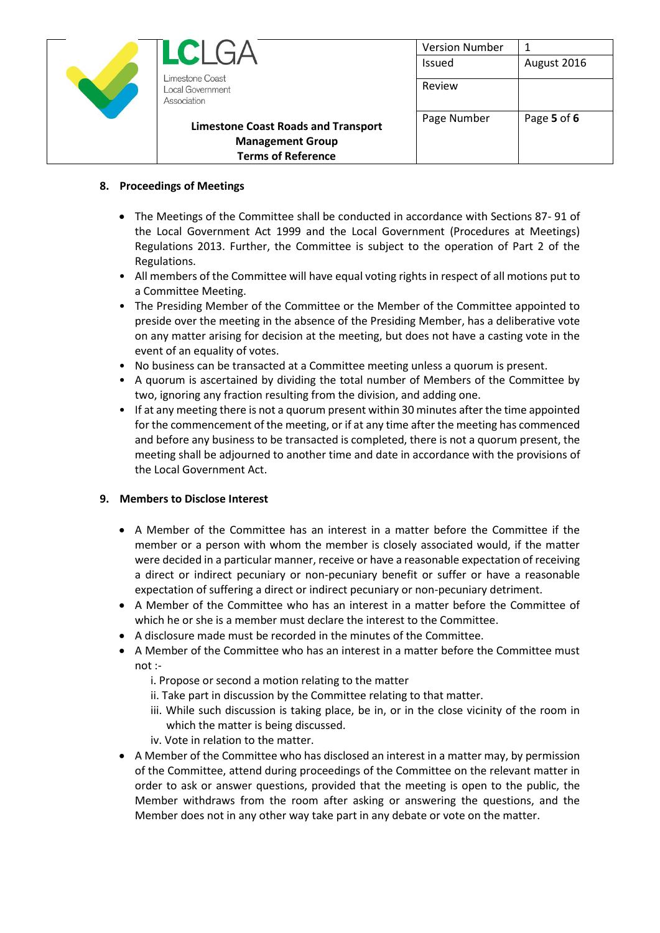| $\blacksquare$                                     | <b>Version Number</b> | 1           |
|----------------------------------------------------|-----------------------|-------------|
|                                                    | Issued                | August 2016 |
| Limestone Coast<br>Local Government<br>Association | Review                |             |
| <b>Limestone Coast Roads and Transport</b>         | Page Number           | Page 5 of 6 |
| <b>Management Group</b>                            |                       |             |
| <b>Terms of Reference</b>                          |                       |             |

# **8. Proceedings of Meetings**

- The Meetings of the Committee shall be conducted in accordance with Sections 87- 91 of the Local Government Act 1999 and the Local Government (Procedures at Meetings) Regulations 2013. Further, the Committee is subject to the operation of Part 2 of the Regulations.
- All members of the Committee will have equal voting rights in respect of all motions put to a Committee Meeting.
- The Presiding Member of the Committee or the Member of the Committee appointed to preside over the meeting in the absence of the Presiding Member, has a deliberative vote on any matter arising for decision at the meeting, but does not have a casting vote in the event of an equality of votes.
- No business can be transacted at a Committee meeting unless a quorum is present.
- A quorum is ascertained by dividing the total number of Members of the Committee by two, ignoring any fraction resulting from the division, and adding one.
- If at any meeting there is not a quorum present within 30 minutes after the time appointed for the commencement of the meeting, or if at any time after the meeting has commenced and before any business to be transacted is completed, there is not a quorum present, the meeting shall be adjourned to another time and date in accordance with the provisions of the Local Government Act.

# **9. Members to Disclose Interest**

- A Member of the Committee has an interest in a matter before the Committee if the member or a person with whom the member is closely associated would, if the matter were decided in a particular manner, receive or have a reasonable expectation of receiving a direct or indirect pecuniary or non-pecuniary benefit or suffer or have a reasonable expectation of suffering a direct or indirect pecuniary or non-pecuniary detriment.
- A Member of the Committee who has an interest in a matter before the Committee of which he or she is a member must declare the interest to the Committee.
- A disclosure made must be recorded in the minutes of the Committee.
- A Member of the Committee who has an interest in a matter before the Committee must not :
	- i. Propose or second a motion relating to the matter
	- ii. Take part in discussion by the Committee relating to that matter.
	- iii. While such discussion is taking place, be in, or in the close vicinity of the room in which the matter is being discussed.
	- iv. Vote in relation to the matter.
- A Member of the Committee who has disclosed an interest in a matter may, by permission of the Committee, attend during proceedings of the Committee on the relevant matter in order to ask or answer questions, provided that the meeting is open to the public, the Member withdraws from the room after asking or answering the questions, and the Member does not in any other way take part in any debate or vote on the matter.